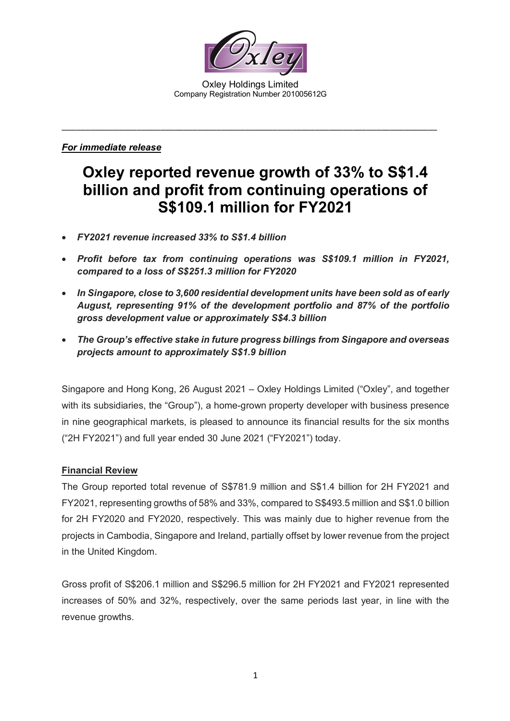

Oxley Holdings Limited Company Registration Number 201005612G

\_\_\_\_\_\_\_\_\_\_\_\_\_\_\_\_\_\_\_\_\_\_\_\_\_\_\_\_\_\_\_\_\_\_\_\_\_\_\_\_\_\_\_\_\_\_\_\_\_\_\_\_\_\_\_\_\_\_\_\_\_\_\_\_\_\_\_\_\_\_\_\_\_\_\_\_\_\_\_\_

## *For immediate release*

# **Oxley reported revenue growth of 33% to S\$1.4 billion and profit from continuing operations of S\$109.1 million for FY2021**

- *FY2021 revenue increased 33% to S\$1.4 billion*
- *Profit before tax from continuing operations was S\$109.1 million in FY2021, compared to a loss of S\$251.3 million for FY2020*
- *In Singapore, close to 3,600 residential development units have been sold as of early August, representing 91% of the development portfolio and 87% of the portfolio gross development value or approximately S\$4.3 billion*
- *The Group's effective stake in future progress billings from Singapore and overseas projects amount to approximately S\$1.9 billion*

Singapore and Hong Kong, 26 August 2021 – Oxley Holdings Limited ("Oxley", and together with its subsidiaries, the "Group"), a home-grown property developer with business presence in nine geographical markets, is pleased to announce its financial results for the six months ("2H FY2021") and full year ended 30 June 2021 ("FY2021") today.

## **Financial Review**

The Group reported total revenue of S\$781.9 million and S\$1.4 billion for 2H FY2021 and FY2021, representing growths of 58% and 33%, compared to S\$493.5 million and S\$1.0 billion for 2H FY2020 and FY2020, respectively. This was mainly due to higher revenue from the projects in Cambodia, Singapore and Ireland, partially offset by lower revenue from the project in the United Kingdom.

Gross profit of S\$206.1 million and S\$296.5 million for 2H FY2021 and FY2021 represented increases of 50% and 32%, respectively, over the same periods last year, in line with the revenue growths.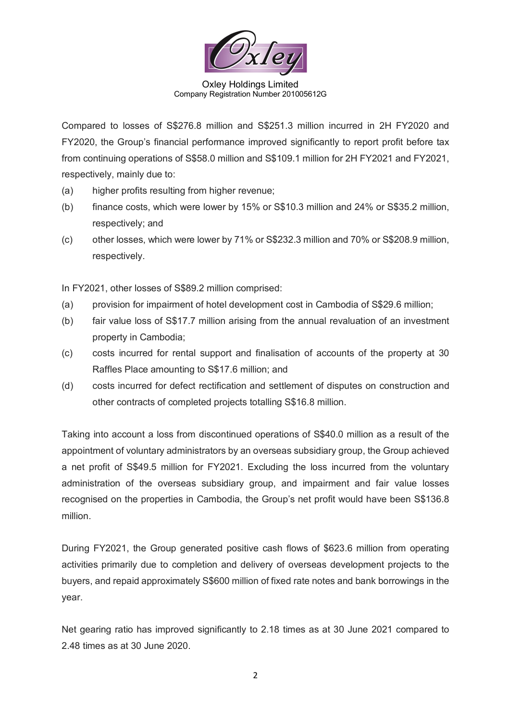

Oxley Holdings Limited Company Registration Number 201005612G

Compared to losses of S\$276.8 million and S\$251.3 million incurred in 2H FY2020 and FY2020, the Group's financial performance improved significantly to report profit before tax from continuing operations of S\$58.0 million and S\$109.1 million for 2H FY2021 and FY2021, respectively, mainly due to:

- (a) higher profits resulting from higher revenue;
- (b) finance costs, which were lower by 15% or S\$10.3 million and 24% or S\$35.2 million, respectively; and
- (c) other losses, which were lower by 71% or S\$232.3 million and 70% or S\$208.9 million, respectively.

In FY2021, other losses of S\$89.2 million comprised:

- (a) provision for impairment of hotel development cost in Cambodia of S\$29.6 million;
- (b) fair value loss of S\$17.7 million arising from the annual revaluation of an investment property in Cambodia;
- (c) costs incurred for rental support and finalisation of accounts of the property at 30 Raffles Place amounting to S\$17.6 million; and
- (d) costs incurred for defect rectification and settlement of disputes on construction and other contracts of completed projects totalling S\$16.8 million.

Taking into account a loss from discontinued operations of S\$40.0 million as a result of the appointment of voluntary administrators by an overseas subsidiary group, the Group achieved a net profit of S\$49.5 million for FY2021. Excluding the loss incurred from the voluntary administration of the overseas subsidiary group, and impairment and fair value losses recognised on the properties in Cambodia, the Group's net profit would have been S\$136.8 million.

During FY2021, the Group generated positive cash flows of \$623.6 million from operating activities primarily due to completion and delivery of overseas development projects to the buyers, and repaid approximately S\$600 million of fixed rate notes and bank borrowings in the year.

Net gearing ratio has improved significantly to 2.18 times as at 30 June 2021 compared to 2.48 times as at 30 June 2020.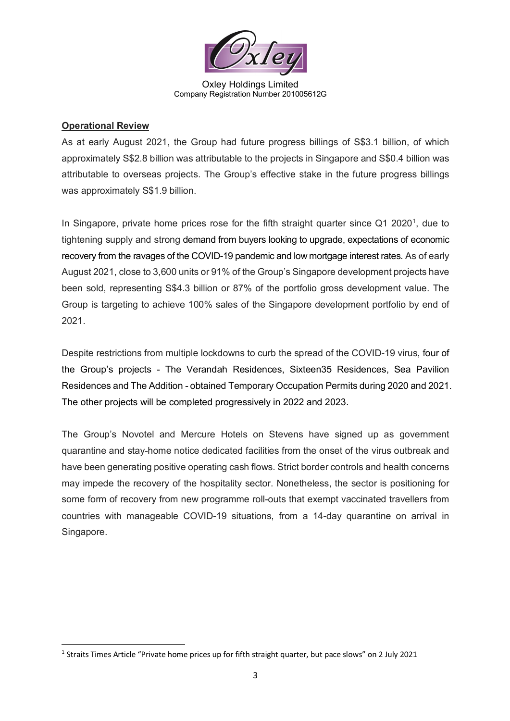

Oxley Holdings Limited Company Registration Number 201005612G

## **Operational Review**

As at early August 2021, the Group had future progress billings of S\$3.1 billion, of which approximately S\$2.8 billion was attributable to the projects in Singapore and S\$0.4 billion was attributable to overseas projects. The Group's effective stake in the future progress billings was approximately S\$1.9 billion.

In Singapore, private home prices rose for the fifth straight quarter since  $Q1$  $Q1$  2020<sup>1</sup>, due to tightening supply and strong demand from buyers looking to upgrade, expectations of economic recovery from the ravages of the COVID-19 pandemic and low mortgage interest rates. As of early August 2021, close to 3,600 units or 91% of the Group's Singapore development projects have been sold, representing S\$4.3 billion or 87% of the portfolio gross development value. The Group is targeting to achieve 100% sales of the Singapore development portfolio by end of 2021.

Despite restrictions from multiple lockdowns to curb the spread of the COVID-19 virus, four of the Group's projects - The Verandah Residences, Sixteen35 Residences, Sea Pavilion Residences and The Addition - obtained Temporary Occupation Permits during 2020 and 2021. The other projects will be completed progressively in 2022 and 2023.

The Group's Novotel and Mercure Hotels on Stevens have signed up as government quarantine and stay-home notice dedicated facilities from the onset of the virus outbreak and have been generating positive operating cash flows. Strict border controls and health concerns may impede the recovery of the hospitality sector. Nonetheless, the sector is positioning for some form of recovery from new programme roll-outs that exempt vaccinated travellers from countries with manageable COVID-19 situations, from a 14-day quarantine on arrival in Singapore.

<span id="page-2-0"></span><sup>1</sup> Straits Times Article "Private home prices up for fifth straight quarter, but pace slows" on 2 July 2021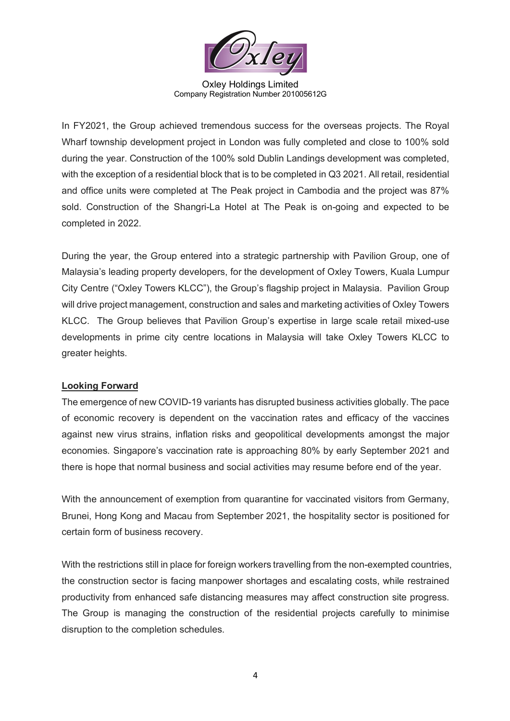

Oxley Holdings Limited Company Registration Number 201005612G

In FY2021, the Group achieved tremendous success for the overseas projects. The Royal Wharf township development project in London was fully completed and close to 100% sold during the year. Construction of the 100% sold Dublin Landings development was completed, with the exception of a residential block that is to be completed in Q3 2021. All retail, residential and office units were completed at The Peak project in Cambodia and the project was 87% sold. Construction of the Shangri-La Hotel at The Peak is on-going and expected to be completed in 2022.

During the year, the Group entered into a strategic partnership with Pavilion Group, one of Malaysia's leading property developers, for the development of Oxley Towers, Kuala Lumpur City Centre ("Oxley Towers KLCC"), the Group's flagship project in Malaysia. Pavilion Group will drive project management, construction and sales and marketing activities of Oxley Towers KLCC. The Group believes that Pavilion Group's expertise in large scale retail mixed-use developments in prime city centre locations in Malaysia will take Oxley Towers KLCC to greater heights.

## **Looking Forward**

The emergence of new COVID-19 variants has disrupted business activities globally. The pace of economic recovery is dependent on the vaccination rates and efficacy of the vaccines against new virus strains, inflation risks and geopolitical developments amongst the major economies. Singapore's vaccination rate is approaching 80% by early September 2021 and there is hope that normal business and social activities may resume before end of the year.

With the announcement of exemption from quarantine for vaccinated visitors from Germany, Brunei, Hong Kong and Macau from September 2021, the hospitality sector is positioned for certain form of business recovery.

With the restrictions still in place for foreign workers travelling from the non-exempted countries, the construction sector is facing manpower shortages and escalating costs, while restrained productivity from enhanced safe distancing measures may affect construction site progress. The Group is managing the construction of the residential projects carefully to minimise disruption to the completion schedules.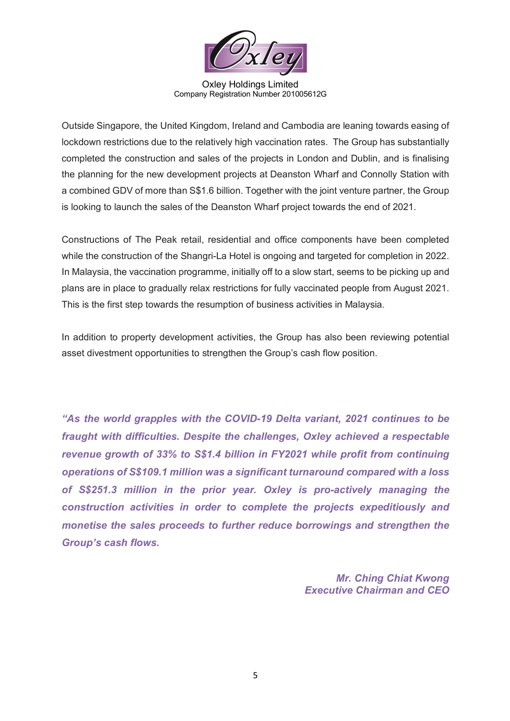

Oxley Holdings Limited Company Registration Number 201005612G

Outside Singapore, the United Kingdom, Ireland and Cambodia are leaning towards easing of lockdown restrictions due to the relatively high vaccination rates. The Group has substantially completed the construction and sales of the projects in London and Dublin, and is finalising the planning for the new development projects at Deanston Wharf and Connolly Station with a combined GDV of more than S\$1.6 billion. Together with the joint venture partner, the Group is looking to launch the sales of the Deanston Wharf project towards the end of 2021.

Constructions of The Peak retail, residential and office components have been completed while the construction of the Shangri-La Hotel is ongoing and targeted for completion in 2022. In Malaysia, the vaccination programme, initially off to a slow start, seems to be picking up and plans are in place to gradually relax restrictions for fully vaccinated people from August 2021. This is the first step towards the resumption of business activities in Malaysia.

In addition to property development activities, the Group has also been reviewing potential asset divestment opportunities to strengthen the Group's cash flow position.

*"As the world grapples with the COVID-19 Delta variant, 2021 continues to be fraught with difficulties. Despite the challenges, Oxley achieved a respectable revenue growth of 33% to S\$1.4 billion in FY2021 while profit from continuing operations of S\$109.1 million was a significant turnaround compared with a loss of S\$251.3 million in the prior year. Oxley is pro-actively managing the construction activities in order to complete the projects expeditiously and monetise the sales proceeds to further reduce borrowings and strengthen the Group's cash flows.*

> *Mr. Ching Chiat Kwong Executive Chairman and CEO*